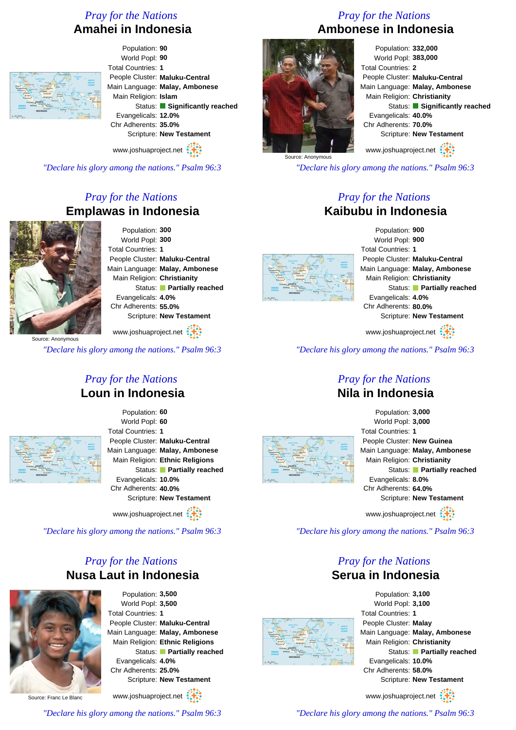## *Pray for the Nations* **Amahei in Indonesia**



Population: **90** World Popl: **90** Total Countries: **1** People Cluster: **Maluku-Central** Main Language: **Malay, Ambonese** Main Religion: **Islam** Status: **Significantly reached** Evangelicals: **12.0%** Chr Adherents: **35.0%** Scripture: **New Testament**

www.joshuaproject.net

*"Declare his glory among the nations." Psalm 96:3*

## *Pray for the Nations* **Emplawas in Indonesia**



Population: **300** World Popl: **300** Total Countries: **1** People Cluster: **Maluku-Central** Main Language: **Malay, Ambonese** Main Religion: **Christianity** Status: **Partially reached** Evangelicals: **4.0%** Chr Adherents: **55.0%** Scripture: **New Testament**

# **Loun in Indonesia**



Population: **60** World Popl: **60** Total Countries: **1** People Cluster: **Maluku-Central** Main Language: **Malay, Ambonese** Main Religion: **Ethnic Religions** Status: **Partially reached** Evangelicals: **10.0%** Chr Adherents: **40.0%** Scripture: **New Testament**

www.joshuaproject.net

*"Declare his glory among the nations." Psalm 96:3*

### *Pray for the Nations* **Nusa Laut in Indonesia**



Population: **3,500** World Popl: **3,500** Total Countries: **1** People Cluster: **Maluku-Central** Main Language: **Malay, Ambonese** Main Religion: **Ethnic Religions** Status: **Partially reached** Evangelicals: **4.0%** Chr Adherents: **25.0%** Scripture: **New Testament**

Source: Franc Le Blanc



*"Declare his glory among the nations." Psalm 96:3*

## *Pray for the Nations* **Ambonese in Indonesia**



Population: **332,000** World Popl: **383,000** Total Countries: **2** People Cluster: **Maluku-Central** Main Language: **Malay, Ambonese** Main Religion: **Christianity** Status: **Significantly reached** Evangelicals: **40.0%** Chr Adherents: **70.0%** Scripture: **New Testament**

www.joshuaproject.net

*"Declare his glory among the nations." Psalm 96:3*

#### *Pray for the Nations* **Kaibubu in Indonesia**



Population: **900** World Popl: **900** Total Countries: **1** People Cluster: **Maluku-Central** Main Language: **Malay, Ambonese** Main Religion: **Christianity** Status: **Partially reached** Evangelicals: **4.0%** Chr Adherents: **80.0%** Scripture: **New Testament**

www.joshuaproject.net

*"Declare his glory among the nations." Psalm 96:3*

#### *Pray for the Nations* **Nila in Indonesia**



#### Population: **3,000** World Popl: **3,000** Total Countries: **1** People Cluster: **New Guinea** Main Language: **Malay, Ambonese** Main Religion: **Christianity** Status: **Partially reached** Evangelicals: **8.0%** Chr Adherents: **64.0%** Scripture: **New Testament** www.joshuaproject.net

*"Declare his glory among the nations." Psalm 96:3*

#### *Pray for the Nations* **Serua in Indonesia**



Population: **3,100** World Popl: **3,100** Total Countries: **1** People Cluster: **Malay** Main Language: **Malay, Ambonese** Main Religion: **Christianity** Status: **Partially reached** Evangelicals: **10.0%** Chr Adherents: **58.0%** Scripture: **New Testament**

www.joshuaproject.net

*"Declare his glory among the nations." Psalm 96:3*



www.joshuaproject.net :

*"Declare his glory among the nations." Psalm 96:3*

*Pray for the Nations*